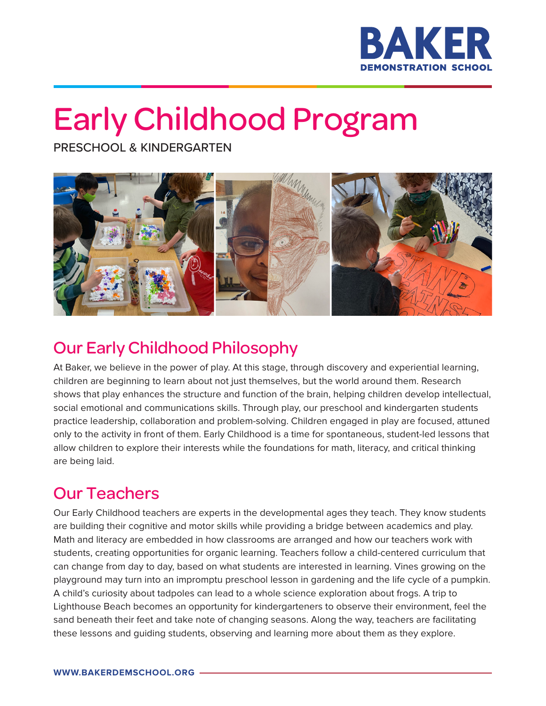

# Early Childhood Program

PRESCHOOL & KINDERGARTEN



## Our Early Childhood Philosophy

At Baker, we believe in the power of play. At this stage, through discovery and experiential learning, children are beginning to learn about not just themselves, but the world around them. Research shows that play enhances the structure and function of the brain, helping children develop intellectual, social emotional and communications skills. Through play, our preschool and kindergarten students practice leadership, collaboration and problem-solving. Children engaged in play are focused, attuned only to the activity in front of them. Early Childhood is a time for spontaneous, student-led lessons that allow children to explore their interests while the foundations for math, literacy, and critical thinking are being laid.

#### Our Teachers

Our Early Childhood teachers are experts in the developmental ages they teach. They know students are building their cognitive and motor skills while providing a bridge between academics and play. Math and literacy are embedded in how classrooms are arranged and how our teachers work with students, creating opportunities for organic learning. Teachers follow a child-centered curriculum that can change from day to day, based on what students are interested in learning. Vines growing on the playground may turn into an impromptu preschool lesson in gardening and the life cycle of a pumpkin. A child's curiosity about tadpoles can lead to a whole science exploration about frogs. A trip to Lighthouse Beach becomes an opportunity for kindergarteners to observe their environment, feel the sand beneath their feet and take note of changing seasons. Along the way, teachers are facilitating these lessons and guiding students, observing and learning more about them as they explore.